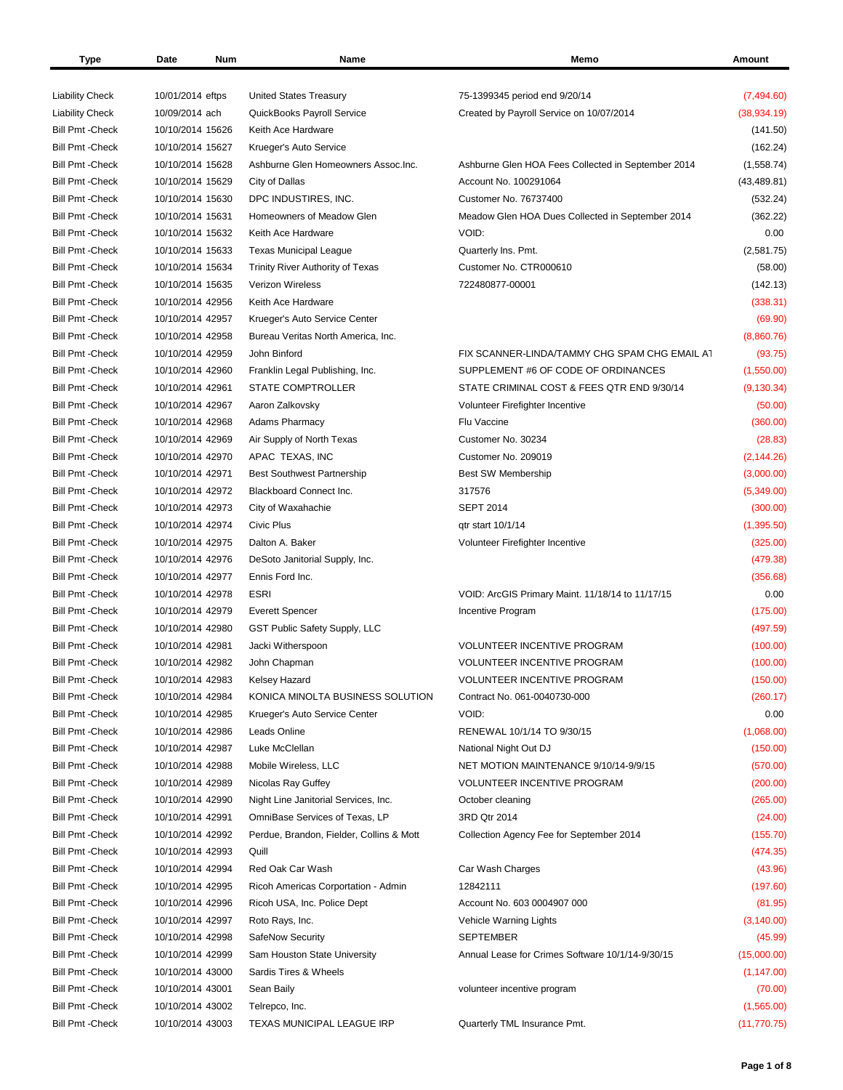| Type                    | Date<br>Num      | Name                                     | Memo                                               | Amount       |
|-------------------------|------------------|------------------------------------------|----------------------------------------------------|--------------|
|                         |                  |                                          |                                                    |              |
| <b>Liability Check</b>  | 10/01/2014 eftps | <b>United States Treasury</b>            | 75-1399345 period end 9/20/14                      | (7,494.60)   |
| <b>Liability Check</b>  | 10/09/2014 ach   | QuickBooks Payroll Service               | Created by Payroll Service on 10/07/2014           | (38, 934.19) |
| <b>Bill Pmt - Check</b> | 10/10/2014 15626 | Keith Ace Hardware                       |                                                    | (141.50)     |
| <b>Bill Pmt - Check</b> | 10/10/2014 15627 | Krueger's Auto Service                   |                                                    | (162.24)     |
| <b>Bill Pmt - Check</b> | 10/10/2014 15628 | Ashburne Glen Homeowners Assoc.Inc.      | Ashburne Glen HOA Fees Collected in September 2014 | (1,558.74)   |
| <b>Bill Pmt - Check</b> | 10/10/2014 15629 | City of Dallas                           | Account No. 100291064                              | (43, 489.81) |
| <b>Bill Pmt - Check</b> | 10/10/2014 15630 | DPC INDUSTIRES, INC.                     | Customer No. 76737400                              | (532.24)     |
| <b>Bill Pmt - Check</b> | 10/10/2014 15631 | Homeowners of Meadow Glen                | Meadow Glen HOA Dues Collected in September 2014   | (362.22)     |
| <b>Bill Pmt - Check</b> | 10/10/2014 15632 | Keith Ace Hardware                       | VOID:                                              | 0.00         |
| <b>Bill Pmt - Check</b> | 10/10/2014 15633 | <b>Texas Municipal League</b>            | Quarterly Ins. Pmt.                                | (2,581.75)   |
| <b>Bill Pmt - Check</b> | 10/10/2014 15634 | Trinity River Authority of Texas         | Customer No. CTR000610                             | (58.00)      |
| <b>Bill Pmt - Check</b> | 10/10/2014 15635 | <b>Verizon Wireless</b>                  | 722480877-00001                                    | (142.13)     |
| <b>Bill Pmt - Check</b> | 10/10/2014 42956 | Keith Ace Hardware                       |                                                    | (338.31)     |
| <b>Bill Pmt - Check</b> | 10/10/2014 42957 | Krueger's Auto Service Center            |                                                    | (69.90)      |
| <b>Bill Pmt - Check</b> | 10/10/2014 42958 | Bureau Veritas North America, Inc.       |                                                    | (8,860.76)   |
| <b>Bill Pmt - Check</b> | 10/10/2014 42959 | John Binford                             | FIX SCANNER-LINDA/TAMMY CHG SPAM CHG EMAIL AT      | (93.75)      |
| <b>Bill Pmt - Check</b> | 10/10/2014 42960 | Franklin Legal Publishing, Inc.          | SUPPLEMENT #6 OF CODE OF ORDINANCES                | (1,550.00)   |
| <b>Bill Pmt - Check</b> | 10/10/2014 42961 | STATE COMPTROLLER                        | STATE CRIMINAL COST & FEES QTR END 9/30/14         | (9, 130.34)  |
| <b>Bill Pmt - Check</b> | 10/10/2014 42967 | Aaron Zalkovsky                          | Volunteer Firefighter Incentive                    | (50.00)      |
| <b>Bill Pmt - Check</b> | 10/10/2014 42968 | <b>Adams Pharmacy</b>                    | Flu Vaccine                                        | (360.00)     |
| <b>Bill Pmt - Check</b> | 10/10/2014 42969 | Air Supply of North Texas                | Customer No. 30234                                 | (28.83)      |
| <b>Bill Pmt - Check</b> | 10/10/2014 42970 | APAC TEXAS, INC                          | Customer No. 209019                                | (2, 144.26)  |
| <b>Bill Pmt - Check</b> | 10/10/2014 42971 | <b>Best Southwest Partnership</b>        | Best SW Membership                                 | (3,000.00)   |
| <b>Bill Pmt - Check</b> | 10/10/2014 42972 | Blackboard Connect Inc.                  | 317576                                             | (5,349.00)   |
| <b>Bill Pmt - Check</b> | 10/10/2014 42973 | City of Waxahachie                       | <b>SEPT 2014</b>                                   | (300.00)     |
| <b>Bill Pmt - Check</b> | 10/10/2014 42974 | Civic Plus                               | qtr start 10/1/14                                  | (1,395.50)   |
| <b>Bill Pmt - Check</b> | 10/10/2014 42975 | Dalton A. Baker                          | Volunteer Firefighter Incentive                    | (325.00)     |
| <b>Bill Pmt - Check</b> | 10/10/2014 42976 | DeSoto Janitorial Supply, Inc.           |                                                    | (479.38)     |
| <b>Bill Pmt - Check</b> | 10/10/2014 42977 | Ennis Ford Inc.                          |                                                    | (356.68)     |
| <b>Bill Pmt - Check</b> | 10/10/2014 42978 | <b>ESRI</b>                              | VOID: ArcGIS Primary Maint. 11/18/14 to 11/17/15   | 0.00         |
| <b>Bill Pmt - Check</b> | 10/10/2014 42979 | <b>Everett Spencer</b>                   | Incentive Program                                  | (175.00)     |
| <b>Bill Pmt - Check</b> | 10/10/2014 42980 | GST Public Safety Supply, LLC            |                                                    | (497.59)     |
| <b>Bill Pmt - Check</b> | 10/10/2014 42981 | Jacki Witherspoon                        | <b>VOLUNTEER INCENTIVE PROGRAM</b>                 | (100.00)     |
| <b>Bill Pmt - Check</b> | 10/10/2014 42982 | John Chapman                             | <b>VOLUNTEER INCENTIVE PROGRAM</b>                 | (100.00)     |
| <b>Bill Pmt - Check</b> | 10/10/2014 42983 | Kelsey Hazard                            | <b>VOLUNTEER INCENTIVE PROGRAM</b>                 | (150.00)     |
| <b>Bill Pmt - Check</b> | 10/10/2014 42984 | KONICA MINOLTA BUSINESS SOLUTION         | Contract No. 061-0040730-000                       | (260.17)     |
| <b>Bill Pmt - Check</b> | 10/10/2014 42985 | Krueger's Auto Service Center            | VOID:                                              | 0.00         |
| <b>Bill Pmt - Check</b> | 10/10/2014 42986 | Leads Online                             | RENEWAL 10/1/14 TO 9/30/15                         | (1,068.00)   |
| Bill Pmt - Check        | 10/10/2014 42987 | Luke McClellan                           | National Night Out DJ                              | (150.00)     |
| Bill Pmt - Check        | 10/10/2014 42988 | Mobile Wireless, LLC                     | NET MOTION MAINTENANCE 9/10/14-9/9/15              | (570.00)     |
| <b>Bill Pmt - Check</b> | 10/10/2014 42989 | Nicolas Ray Guffey                       | <b>VOLUNTEER INCENTIVE PROGRAM</b>                 | (200.00)     |
| <b>Bill Pmt - Check</b> | 10/10/2014 42990 | Night Line Janitorial Services, Inc.     | October cleaning                                   | (265.00)     |
| Bill Pmt -Check         | 10/10/2014 42991 | OmniBase Services of Texas, LP           | 3RD Qtr 2014                                       | (24.00)      |
| <b>Bill Pmt - Check</b> | 10/10/2014 42992 | Perdue, Brandon, Fielder, Collins & Mott | Collection Agency Fee for September 2014           | (155.70)     |
| <b>Bill Pmt - Check</b> | 10/10/2014 42993 | Quill                                    |                                                    | (474.35)     |
| <b>Bill Pmt - Check</b> | 10/10/2014 42994 | Red Oak Car Wash                         | Car Wash Charges                                   | (43.96)      |
| <b>Bill Pmt - Check</b> | 10/10/2014 42995 | Ricoh Americas Corportation - Admin      | 12842111                                           | (197.60)     |
| <b>Bill Pmt - Check</b> | 10/10/2014 42996 | Ricoh USA, Inc. Police Dept              | Account No. 603 0004907 000                        | (81.95)      |
| <b>Bill Pmt - Check</b> | 10/10/2014 42997 | Roto Rays, Inc.                          | Vehicle Warning Lights                             | (3, 140.00)  |
| <b>Bill Pmt - Check</b> | 10/10/2014 42998 | SafeNow Security                         | <b>SEPTEMBER</b>                                   | (45.99)      |
| <b>Bill Pmt - Check</b> | 10/10/2014 42999 | Sam Houston State University             | Annual Lease for Crimes Software 10/1/14-9/30/15   | (15,000.00)  |
| Bill Pmt - Check        | 10/10/2014 43000 | Sardis Tires & Wheels                    |                                                    | (1, 147.00)  |
| <b>Bill Pmt - Check</b> | 10/10/2014 43001 | Sean Baily                               | volunteer incentive program                        | (70.00)      |
| <b>Bill Pmt - Check</b> | 10/10/2014 43002 | Telrepco, Inc.                           |                                                    | (1,565.00)   |
| <b>Bill Pmt - Check</b> | 10/10/2014 43003 | TEXAS MUNICIPAL LEAGUE IRP               | Quarterly TML Insurance Pmt.                       | (11, 770.75) |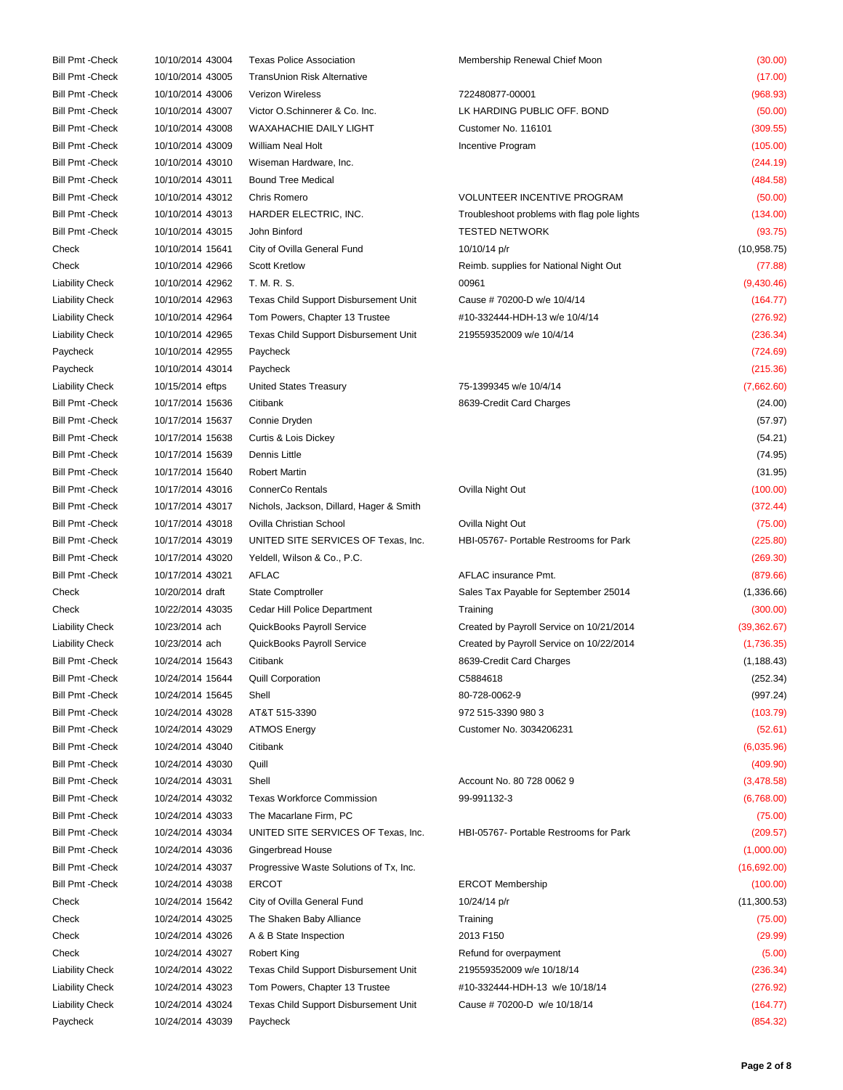Bill Pmt -Check 10/10/2014 43004 Texas Police Association Membership Renewal Chief Moon (30.00) Bill Pmt -Check 10/10/2014 43005 TransUnion Risk Alternative (17.00) Bill Pmt -Check 10/10/2014 43006 Verizon Wireless 722480877-00001 (968.93) Bill Pmt -Check 10/10/2014 43007 Victor O.Schinnerer & Co. Inc. LK HARDING PUBLIC OFF. BOND (50.00) Bill Pmt -Check 10/10/2014 43008 WAXAHACHIE DAILY LIGHT Customer No. 116101 Customer No. 116101 (309.55) Bill Pmt -Check 10/10/2014 43009 William Neal Holt Incentive Program Incentive Program (105.00) Bill Pmt -Check 10/10/2014 43010 Wiseman Hardware, Inc. (244.19) Bill Pmt -Check 10/10/2014 43011 Bound Tree Medical (484.58) 6 (484.58) Bill Pmt -Check 10/10/2014 43012 Chris Romero VOLUNTEER INCENTIVE PROGRAM (50.00) Bill Pmt -Check 10/10/2014 43013 HARDER ELECTRIC, INC. Troubleshoot problems with flag pole lights (134.00) Bill Pmt -Check 10/10/2014 43015 John Binford TESTED NETWORK TESTED NETWORK (93.75) Check 10/10/2014 15641 City of Ovilla General Fund 10/10/14 p/r (10,958.75) Check 10/10/2014 42966 Scott Kretlow Reimb. supplies for National Night Out (77.88) Liability Check 10/10/2014 42962 T. M. R. S. 00961 (9,430.46) Liability Check 10/10/2014 42963 Texas Child Support Disbursement Unit Cause # 70200-D w/e 10/4/14 (164.77) Liability Check 10/10/2014 42964 Tom Powers, Chapter 13 Trustee #10-332444-HDH-13 w/e 10/4/14 (276.92) Liability Check 10/10/2014 42965 Texas Child Support Disbursement Unit 219559352009 w/e 10/4/14 (236.34) Paycheck 10/10/2014 42955 Paycheck (724.69) Paycheck 10/10/2014 43014 Paycheck (215.36) Liability Check 10/15/2014 eftps United States Treasury 75-1399345 w/e 10/4/14 (7,662.60) Bill Pmt -Check 10/17/2014 15636 Citibank 8639-Credit Card Charges (24.00) Bill Pmt -Check 10/17/2014 15637 Connie Dryden (57.97) Bill Pmt -Check 10/17/2014 15638 Curtis & Lois Dickey (54.21) Bill Pmt -Check 10/17/2014 15639 Dennis Little (74.95) Bill Pmt -Check 10/17/2014 15640 Robert Martin (31.95) Bill Pmt -Check 10/17/2014 43016 ConnerCo Rentals Ovilla Night Out (100.00) Bill Pmt -Check 10/17/2014 43017 Nichols, Jackson, Dillard, Hager & Smith (372.44) (372.44) Bill Pmt -Check 10/17/2014 43018 Ovilla Christian School Ovilla Night Out (75.00) Bill Pmt -Check 10/17/2014 43019 UNITED SITE SERVICES OF Texas, Inc. HBI-05767- Portable Restrooms for Park (225.80) Bill Pmt -Check 10/17/2014 43020 Yeldell, Wilson & Co., P.C. (269.30) Bill Pmt -Check 10/17/2014 43021 AFLAC 100 12 AFLAC AFLAC Insurance Pmt. (879.66) Check 10/20/2014 draft State Comptroller State Sales Tax Payable for September 25014 (1,336.66) Check 10/22/2014 43035 Cedar Hill Police Department Training (300.00) Liability Check 10/23/2014 ach QuickBooks Payroll Service Created by Payroll Service on 10/21/2014 (39,362.67) Liability Check 10/23/2014 ach QuickBooks Payroll Service Created by Payroll Service on 10/22/2014 (1,736.35) Bill Pmt -Check 10/24/2014 15643 Citibank 8639-Credit Card Charges (1,188.43) Bill Pmt -Check 10/24/2014 15644 Quill Corporation C5884618 (252.34) Bill Pmt -Check 10/24/2014 15645 Shell 80-728-0062-9 (997.24) Bill Pmt -Check 10/24/2014 43028 AT&T 515-3390 980 972 515-3390 980 3 (103.79) Bill Pmt -Check 10/24/2014 43029 ATMOS Energy Customer No. 3034206231 (52.61) Bill Pmt -Check 10/24/2014 43040 Citibank (6,035.96) Bill Pmt -Check 10/24/2014 43030 Quill (409.90) Bill Pmt -Check 10/24/2014 43031 Shell Account No. 80 728 0062 9 (3,478.58) Bill Pmt -Check 10/24/2014 43032 Texas Workforce Commission 99-991132-3 (6,768.00) Bill Pmt -Check 10/24/2014 43033 The Macarlane Firm, PC (75.00) Bill Pmt -Check 10/24/2014 43034 UNITED SITE SERVICES OF Texas, Inc. HBI-05767- Portable Restrooms for Park (209.57) Bill Pmt -Check 10/24/2014 43036 Gingerbread House (1,000.00) Bill Pmt -Check 10/24/2014 43037 Progressive Waste Solutions of Tx, Inc. (16,692.00) Bill Pmt -Check 10/24/2014 43038 ERCOT **ERCOT** ERCOT Membership (100.00) Check 10/24/2014 15642 City of Ovilla General Fund 10/24/14 p/r (11,300.53) Check 10/24/2014 43025 The Shaken Baby Alliance Training (75.00) Check 10/24/2014 43026 A & B State Inspection 2013 F150 (29.99) Check 10/24/2014 43027 Robert King Refund for overpayment Refund for overpayment (5.00) Liability Check 10/24/2014 43022 Texas Child Support Disbursement Unit 219559352009 w/e 10/18/14 (236.34) Liability Check 10/24/2014 43023 Tom Powers, Chapter 13 Trustee #10-332444-HDH-13 w/e 10/18/14 (276.92) Liability Check 10/24/2014 43024 Texas Child Support Disbursement Unit Cause # 70200-D w/e 10/18/14 (164.77) Paycheck 10/24/2014 43039 Paycheck (854.32)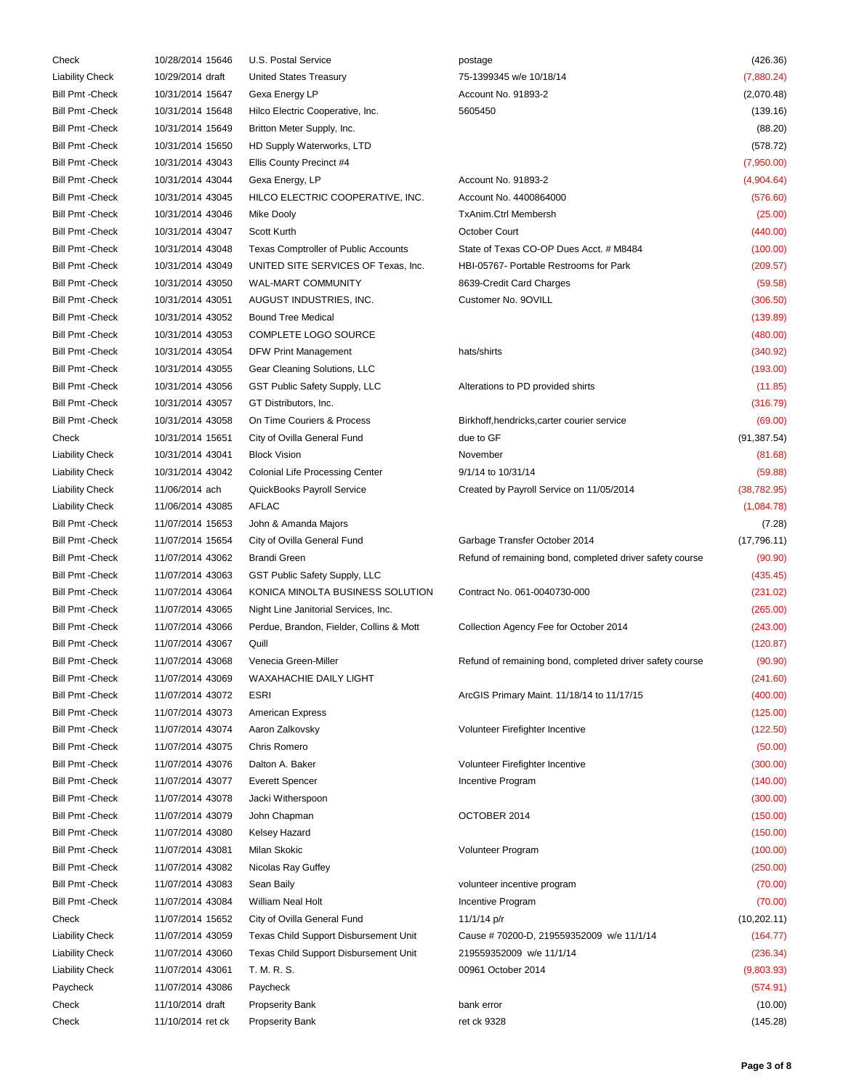| Check                   | 10/28/2014 15646  | U.S. Postal Service                      | postage                                                  | (426.36)     |
|-------------------------|-------------------|------------------------------------------|----------------------------------------------------------|--------------|
| <b>Liability Check</b>  | 10/29/2014 draft  | <b>United States Treasury</b>            | 75-1399345 w/e 10/18/14                                  | (7,880.24)   |
| <b>Bill Pmt - Check</b> | 10/31/2014 15647  | Gexa Energy LP                           | Account No. 91893-2                                      | (2,070.48)   |
| <b>Bill Pmt - Check</b> | 10/31/2014 15648  | Hilco Electric Cooperative, Inc.         | 5605450                                                  | (139.16)     |
| <b>Bill Pmt - Check</b> | 10/31/2014 15649  | Britton Meter Supply, Inc.               |                                                          | (88.20)      |
| <b>Bill Pmt - Check</b> | 10/31/2014 15650  | HD Supply Waterworks, LTD                |                                                          | (578.72)     |
| <b>Bill Pmt - Check</b> | 10/31/2014 43043  | Ellis County Precinct #4                 |                                                          | (7,950.00)   |
| <b>Bill Pmt - Check</b> | 10/31/2014 43044  | Gexa Energy, LP                          | Account No. 91893-2                                      | (4,904.64)   |
| <b>Bill Pmt - Check</b> | 10/31/2014 43045  | HILCO ELECTRIC COOPERATIVE, INC.         | Account No. 4400864000                                   | (576.60)     |
| <b>Bill Pmt - Check</b> | 10/31/2014 43046  | Mike Dooly                               | <b>TxAnim.Ctrl Membersh</b>                              | (25.00)      |
| <b>Bill Pmt - Check</b> | 10/31/2014 43047  | Scott Kurth                              | October Court                                            | (440.00)     |
| <b>Bill Pmt - Check</b> | 10/31/2014 43048  | Texas Comptroller of Public Accounts     | State of Texas CO-OP Dues Acct. # M8484                  | (100.00)     |
| <b>Bill Pmt - Check</b> | 10/31/2014 43049  | UNITED SITE SERVICES OF Texas, Inc.      | HBI-05767- Portable Restrooms for Park                   | (209.57)     |
| <b>Bill Pmt - Check</b> | 10/31/2014 43050  | WAL-MART COMMUNITY                       | 8639-Credit Card Charges                                 | (59.58)      |
| <b>Bill Pmt - Check</b> | 10/31/2014 43051  | AUGUST INDUSTRIES, INC.                  | Customer No. 9OVILL                                      | (306.50)     |
| <b>Bill Pmt - Check</b> | 10/31/2014 43052  | <b>Bound Tree Medical</b>                |                                                          |              |
|                         |                   |                                          |                                                          | (139.89)     |
| <b>Bill Pmt - Check</b> | 10/31/2014 43053  | COMPLETE LOGO SOURCE                     |                                                          | (480.00)     |
| <b>Bill Pmt - Check</b> | 10/31/2014 43054  | <b>DFW Print Management</b>              | hats/shirts                                              | (340.92)     |
| <b>Bill Pmt - Check</b> | 10/31/2014 43055  | Gear Cleaning Solutions, LLC             |                                                          | (193.00)     |
| <b>Bill Pmt - Check</b> | 10/31/2014 43056  | GST Public Safety Supply, LLC            | Alterations to PD provided shirts                        | (11.85)      |
| <b>Bill Pmt - Check</b> | 10/31/2014 43057  | GT Distributors, Inc.                    |                                                          | (316.79)     |
| <b>Bill Pmt - Check</b> | 10/31/2014 43058  | On Time Couriers & Process               | Birkhoff, hendricks, carter courier service              | (69.00)      |
| Check                   | 10/31/2014 15651  | City of Ovilla General Fund              | due to GF                                                | (91, 387.54) |
| <b>Liability Check</b>  | 10/31/2014 43041  | <b>Block Vision</b>                      | November                                                 | (81.68)      |
| <b>Liability Check</b>  | 10/31/2014 43042  | Colonial Life Processing Center          | 9/1/14 to 10/31/14                                       | (59.88)      |
| <b>Liability Check</b>  | 11/06/2014 ach    | QuickBooks Payroll Service               | Created by Payroll Service on 11/05/2014                 | (38, 782.95) |
| <b>Liability Check</b>  | 11/06/2014 43085  | <b>AFLAC</b>                             |                                                          | (1,084.78)   |
| <b>Bill Pmt - Check</b> | 11/07/2014 15653  | John & Amanda Majors                     |                                                          | (7.28)       |
| <b>Bill Pmt - Check</b> | 11/07/2014 15654  | City of Ovilla General Fund              | Garbage Transfer October 2014                            | (17, 796.11) |
| <b>Bill Pmt - Check</b> | 11/07/2014 43062  | <b>Brandi Green</b>                      | Refund of remaining bond, completed driver safety course | (90.90)      |
| <b>Bill Pmt - Check</b> | 11/07/2014 43063  | GST Public Safety Supply, LLC            |                                                          | (435.45)     |
| <b>Bill Pmt - Check</b> | 11/07/2014 43064  | KONICA MINOLTA BUSINESS SOLUTION         | Contract No. 061-0040730-000                             | (231.02)     |
| <b>Bill Pmt - Check</b> | 11/07/2014 43065  | Night Line Janitorial Services, Inc.     |                                                          | (265.00)     |
| <b>Bill Pmt - Check</b> | 11/07/2014 43066  | Perdue, Brandon, Fielder, Collins & Mott | Collection Agency Fee for October 2014                   | (243.00)     |
| <b>Bill Pmt - Check</b> | 11/07/2014 43067  | Quill                                    |                                                          | (120.87)     |
| <b>Bill Pmt - Check</b> | 11/07/2014 43068  | Venecia Green-Miller                     | Refund of remaining bond, completed driver safety course | (90.90)      |
| <b>Bill Pmt - Check</b> | 11/07/2014 43069  | WAXAHACHIE DAILY LIGHT                   |                                                          | (241.60)     |
| <b>Bill Pmt - Check</b> | 11/07/2014 43072  | <b>ESRI</b>                              | ArcGIS Primary Maint. 11/18/14 to 11/17/15               | (400.00)     |
| <b>Bill Pmt - Check</b> | 11/07/2014 43073  | <b>American Express</b>                  |                                                          | (125.00)     |
| <b>Bill Pmt - Check</b> | 11/07/2014 43074  | Aaron Zalkovsky                          | Volunteer Firefighter Incentive                          | (122.50)     |
| <b>Bill Pmt - Check</b> | 11/07/2014 43075  | Chris Romero                             |                                                          | (50.00)      |
| <b>Bill Pmt - Check</b> | 11/07/2014 43076  | Dalton A. Baker                          | Volunteer Firefighter Incentive                          | (300.00)     |
| <b>Bill Pmt - Check</b> | 11/07/2014 43077  | <b>Everett Spencer</b>                   | Incentive Program                                        | (140.00)     |
| <b>Bill Pmt - Check</b> | 11/07/2014 43078  |                                          |                                                          | (300.00)     |
|                         | 11/07/2014 43079  | Jacki Witherspoon                        |                                                          |              |
| <b>Bill Pmt - Check</b> |                   | John Chapman                             | OCTOBER 2014                                             | (150.00)     |
| <b>Bill Pmt - Check</b> | 11/07/2014 43080  | Kelsey Hazard                            |                                                          | (150.00)     |
| <b>Bill Pmt - Check</b> | 11/07/2014 43081  | Milan Skokic                             | Volunteer Program                                        | (100.00)     |
| <b>Bill Pmt - Check</b> | 11/07/2014 43082  | Nicolas Ray Guffey                       |                                                          | (250.00)     |
| <b>Bill Pmt - Check</b> | 11/07/2014 43083  | Sean Baily                               | volunteer incentive program                              | (70.00)      |
| <b>Bill Pmt - Check</b> | 11/07/2014 43084  | William Neal Holt                        | Incentive Program                                        | (70.00)      |
| Check                   | 11/07/2014 15652  | City of Ovilla General Fund              | 11/1/14 p/r                                              | (10, 202.11) |
| <b>Liability Check</b>  | 11/07/2014 43059  | Texas Child Support Disbursement Unit    | Cause #70200-D, 219559352009 w/e 11/1/14                 | (164.77)     |
| <b>Liability Check</b>  | 11/07/2014 43060  | Texas Child Support Disbursement Unit    | 219559352009 w/e 11/1/14                                 | (236.34)     |
| <b>Liability Check</b>  | 11/07/2014 43061  | T. M. R. S.                              | 00961 October 2014                                       | (9,803.93)   |
| Paycheck                | 11/07/2014 43086  | Paycheck                                 |                                                          | (574.91)     |
| Check                   | 11/10/2014 draft  | <b>Propserity Bank</b>                   | bank error                                               | (10.00)      |
| Check                   | 11/10/2014 ret ck | <b>Propserity Bank</b>                   | ret ck 9328                                              | (145.28)     |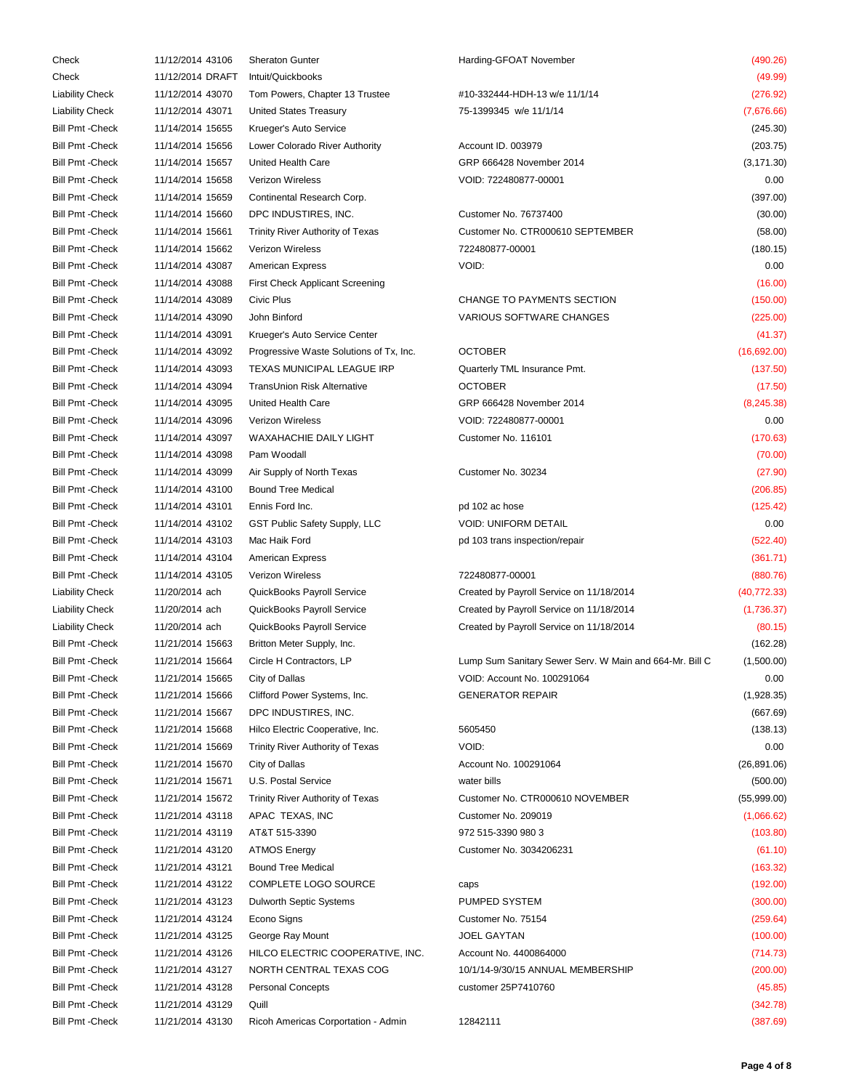| Check                   | 11/12/2014 43106 | <b>Sheraton Gunter</b>                  | Harding-GFOAT November                                  | (490.26)     |
|-------------------------|------------------|-----------------------------------------|---------------------------------------------------------|--------------|
| Check                   | 11/12/2014 DRAFT | Intuit/Quickbooks                       |                                                         | (49.99)      |
| Liability Check         | 11/12/2014 43070 | Tom Powers, Chapter 13 Trustee          | #10-332444-HDH-13 w/e 11/1/14                           | (276.92)     |
| Liability Check         | 11/12/2014 43071 | United States Treasury                  | 75-1399345 w/e 11/1/14                                  | (7,676.66)   |
| Bill Pmt -Check         | 11/14/2014 15655 | Krueger's Auto Service                  |                                                         | (245.30)     |
| Bill Pmt -Check         | 11/14/2014 15656 | Lower Colorado River Authority          | Account ID. 003979                                      | (203.75)     |
| Bill Pmt -Check         | 11/14/2014 15657 | United Health Care                      | GRP 666428 November 2014                                | (3, 171.30)  |
| <b>Bill Pmt - Check</b> | 11/14/2014 15658 | Verizon Wireless                        | VOID: 722480877-00001                                   | 0.00         |
| Bill Pmt -Check         | 11/14/2014 15659 | Continental Research Corp.              |                                                         | (397.00)     |
| Bill Pmt -Check         | 11/14/2014 15660 | DPC INDUSTIRES, INC.                    | Customer No. 76737400                                   | (30.00)      |
| <b>Bill Pmt - Check</b> | 11/14/2014 15661 | Trinity River Authority of Texas        | Customer No. CTR000610 SEPTEMBER                        | (58.00)      |
| <b>Bill Pmt - Check</b> | 11/14/2014 15662 | Verizon Wireless                        | 722480877-00001                                         | (180.15)     |
| Bill Pmt -Check         | 11/14/2014 43087 | <b>American Express</b>                 | VOID:                                                   | 0.00         |
| Bill Pmt -Check         | 11/14/2014 43088 | <b>First Check Applicant Screening</b>  |                                                         | (16.00)      |
| Bill Pmt -Check         |                  | Civic Plus                              | CHANGE TO PAYMENTS SECTION                              |              |
|                         | 11/14/2014 43089 |                                         |                                                         | (150.00)     |
| Bill Pmt -Check         | 11/14/2014 43090 | John Binford                            | VARIOUS SOFTWARE CHANGES                                | (225.00)     |
| Bill Pmt -Check         | 11/14/2014 43091 | Krueger's Auto Service Center           |                                                         | (41.37)      |
| <b>Bill Pmt - Check</b> | 11/14/2014 43092 | Progressive Waste Solutions of Tx, Inc. | <b>OCTOBER</b>                                          | (16,692.00)  |
| Bill Pmt -Check         | 11/14/2014 43093 | TEXAS MUNICIPAL LEAGUE IRP              | Quarterly TML Insurance Pmt.                            | (137.50)     |
| <b>Bill Pmt - Check</b> | 11/14/2014 43094 | TransUnion Risk Alternative             | <b>OCTOBER</b>                                          | (17.50)      |
| Bill Pmt -Check         | 11/14/2014 43095 | United Health Care                      | GRP 666428 November 2014                                | (8, 245.38)  |
| <b>Bill Pmt - Check</b> | 11/14/2014 43096 | Verizon Wireless                        | VOID: 722480877-00001                                   | 0.00         |
| Bill Pmt -Check         | 11/14/2014 43097 | <b>WAXAHACHIE DAILY LIGHT</b>           | Customer No. 116101                                     | (170.63)     |
| Bill Pmt -Check         | 11/14/2014 43098 | Pam Woodall                             |                                                         | (70.00)      |
| Bill Pmt -Check         | 11/14/2014 43099 | Air Supply of North Texas               | Customer No. 30234                                      | (27.90)      |
| <b>Bill Pmt - Check</b> | 11/14/2014 43100 | <b>Bound Tree Medical</b>               |                                                         | (206.85)     |
| <b>Bill Pmt - Check</b> | 11/14/2014 43101 | Ennis Ford Inc.                         | pd 102 ac hose                                          | (125.42)     |
| Bill Pmt -Check         | 11/14/2014 43102 | GST Public Safety Supply, LLC           | <b>VOID: UNIFORM DETAIL</b>                             | 0.00         |
| <b>Bill Pmt - Check</b> | 11/14/2014 43103 | Mac Haik Ford                           | pd 103 trans inspection/repair                          | (522.40)     |
| Bill Pmt -Check         | 11/14/2014 43104 | <b>American Express</b>                 |                                                         | (361.71)     |
| Bill Pmt -Check         | 11/14/2014 43105 | Verizon Wireless                        | 722480877-00001                                         | (880.76)     |
| <b>Liability Check</b>  | 11/20/2014 ach   | QuickBooks Payroll Service              | Created by Payroll Service on 11/18/2014                | (40, 772.33) |
| Liability Check         | 11/20/2014 ach   | QuickBooks Payroll Service              | Created by Payroll Service on 11/18/2014                | (1,736.37)   |
| Liability Check         | 11/20/2014 ach   | QuickBooks Payroll Service              | Created by Payroll Service on 11/18/2014                | (80.15)      |
| Bill Pmt -Check         | 11/21/2014 15663 | Britton Meter Supply, Inc.              |                                                         | (162.28)     |
| <b>Bill Pmt - Check</b> | 11/21/2014 15664 | Circle H Contractors, LP                | Lump Sum Sanitary Sewer Serv. W Main and 664-Mr. Bill C | (1,500.00)   |
| Bill Pmt -Check         | 11/21/2014 15665 | City of Dallas                          | VOID: Account No. 100291064                             | 0.00         |
| <b>Bill Pmt - Check</b> | 11/21/2014 15666 | Clifford Power Systems, Inc.            | <b>GENERATOR REPAIR</b>                                 | (1,928.35)   |
| <b>Bill Pmt - Check</b> | 11/21/2014 15667 | DPC INDUSTIRES, INC.                    |                                                         | (667.69)     |
| Bill Pmt -Check         | 11/21/2014 15668 | Hilco Electric Cooperative, Inc.        | 5605450                                                 | (138.13)     |
| Bill Pmt -Check         | 11/21/2014 15669 | Trinity River Authority of Texas        | VOID:                                                   | 0.00         |
| Bill Pmt -Check         | 11/21/2014 15670 | City of Dallas                          | Account No. 100291064                                   | (26, 891.06) |
| Bill Pmt -Check         | 11/21/2014 15671 | U.S. Postal Service                     | water bills                                             | (500.00)     |
| <b>Bill Pmt - Check</b> | 11/21/2014 15672 | Trinity River Authority of Texas        | Customer No. CTR000610 NOVEMBER                         | (55,999.00)  |
| Bill Pmt -Check         | 11/21/2014 43118 | APAC TEXAS, INC                         | Customer No. 209019                                     | (1,066.62)   |
| Bill Pmt -Check         | 11/21/2014 43119 | AT&T 515-3390                           | 972 515-3390 980 3                                      | (103.80)     |
| <b>Bill Pmt - Check</b> |                  |                                         |                                                         |              |
|                         | 11/21/2014 43120 | <b>ATMOS Energy</b>                     | Customer No. 3034206231                                 | (61.10)      |
| Bill Pmt -Check         | 11/21/2014 43121 | <b>Bound Tree Medical</b>               |                                                         | (163.32)     |
| Bill Pmt -Check         | 11/21/2014 43122 | COMPLETE LOGO SOURCE                    | caps                                                    | (192.00)     |
| <b>Bill Pmt - Check</b> | 11/21/2014 43123 | Dulworth Septic Systems                 | PUMPED SYSTEM                                           | (300.00)     |
| Bill Pmt -Check         | 11/21/2014 43124 | Econo Signs                             | Customer No. 75154                                      | (259.64)     |
| <b>Bill Pmt - Check</b> | 11/21/2014 43125 | George Ray Mount                        | <b>JOEL GAYTAN</b>                                      | (100.00)     |
| Bill Pmt -Check         | 11/21/2014 43126 | HILCO ELECTRIC COOPERATIVE, INC.        | Account No. 4400864000                                  | (714.73)     |
| Bill Pmt -Check         | 11/21/2014 43127 | NORTH CENTRAL TEXAS COG                 | 10/1/14-9/30/15 ANNUAL MEMBERSHIP                       | (200.00)     |
| Bill Pmt -Check         | 11/21/2014 43128 | <b>Personal Concepts</b>                | customer 25P7410760                                     | (45.85)      |
| Bill Pmt -Check         | 11/21/2014 43129 | Quill                                   |                                                         | (342.78)     |
| Bill Pmt -Check         | 11/21/2014 43130 | Ricoh Americas Corportation - Admin     | 12842111                                                | (387.69)     |
|                         |                  |                                         |                                                         |              |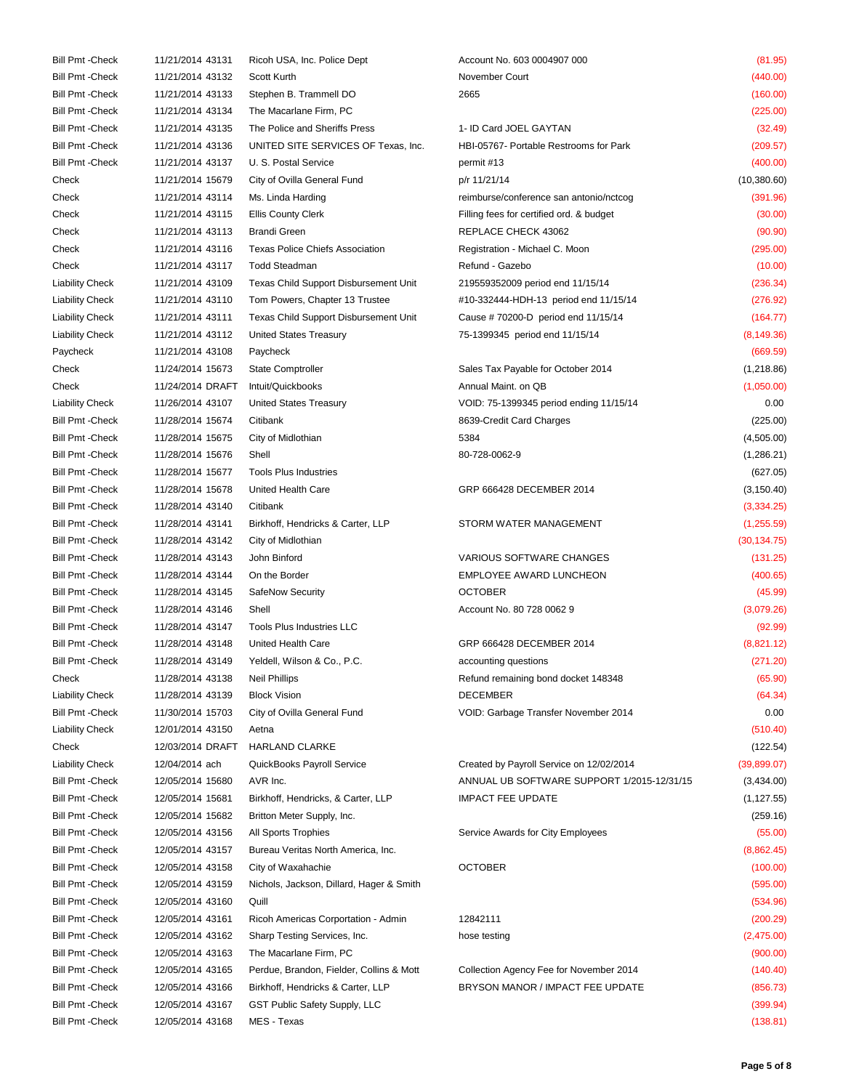Bill Pmt -Check 11/21/2014 43131 Ricoh USA, Inc. Police Dept Account No. 603 0004907 000 (81.95) Bill Pmt -Check 11/21/2014 43132 Scott Kurth November Court November Court (440.00) Bill Pmt -Check 11/21/2014 43133 Stephen B. Trammell DO 2665 (160.00) Bill Pmt -Check 11/21/2014 43134 The Macarlane Firm, PC (225.00) Bill Pmt -Check 11/21/2014 43135 The Police and Sheriffs Press 1- ID Card JOEL GAYTAN (32.49) Bill Pmt -Check 11/21/2014 43136 UNITED SITE SERVICES OF Texas, Inc. HBI-05767- Portable Restrooms for Park (209.57) Bill Pmt -Check 11/21/2014 43137 U. S. Postal Service permit #13 permit #13 (400.00) Check 11/21/2014 15679 City of Ovilla General Fund p/r 11/21/14 (10,380.60) Check 11/21/2014 43114 Ms. Linda Harding reimburse/conference san antonio/nctcog (391.96) Check 11/21/2014 43115 Ellis County Clerk Filling fees for certified ord. & budget (30.00) Check 11/21/2014 43113 Brandi Green REPLACE CHECK 43062 (90.90) Check 11/21/2014 43116 Texas Police Chiefs Association Registration - Michael C. Moon (295.00) Check 11/21/2014 43117 Todd Steadman Refund - Gazebo (10.00) Liability Check 11/21/2014 43109 Texas Child Support Disbursement Unit 219559352009 period end 11/15/14 (236.34) Liability Check 11/21/2014 43110 Tom Powers, Chapter 13 Trustee #10-332444-HDH-13 period end 11/15/14 (276.92) Liability Check 11/21/2014 43111 Texas Child Support Disbursement Unit Cause # 70200-D period end 11/15/14 (164.77) Liability Check 11/21/2014 43112 United States Treasury 75-1399345 period end 11/15/14 (8,149.36) Paycheck 11/21/2014 43108 Paycheck (669.59) Check 11/24/2014 15673 State Comptroller Sales Tax Payable for October 2014 (1,218.86) Check 11/24/2014 DRAFT Intuit/Quickbooks Annual Maint. on QB (1,050.00) Check Liability Check 11/26/2014 43107 United States Treasury VOID: 75-1399345 period ending 11/15/14 0.00 Bill Pmt -Check 11/28/2014 15674 Citibank 8639-Credit Card Charges (225.00) Bill Pmt -Check 11/28/2014 15675 City of Midlothian 5384 (4,505.00) Bill Pmt -Check 11/28/2014 15676 Shell 80-728-0062-9 80-728-0062-9 (1,286.21) Bill Pmt -Check 11/28/2014 15677 Tools Plus Industries (627.05) (627.05) Bill Pmt -Check 11/28/2014 15678 United Health Care GRP 666428 DECEMBER 2014 (3,150.40) Bill Pmt -Check 11/28/2014 43140 Citibank (3,334.25) Bill Pmt -Check 11/28/2014 43141 Birkhoff, Hendricks & Carter, LLP STORM WATER MANAGEMENT (1,255.59) Bill Pmt -Check 11/28/2014 43142 City of Midlothian (30,134.75) Bill Pmt -Check 11/28/2014 43143 John Binford VARIOUS SOFTWARE CHANGES (131.25) Bill Pmt -Check 11/28/2014 43144 On the Border EMPLOYEE AWARD LUNCHEON (400.65) Bill Pmt -Check 11/28/2014 43145 SafeNow Security OCTOBER (45.99) Bill Pmt -Check 11/28/2014 43146 Shell Account No. 80 728 0062 9 (3,079.26) Bill Pmt -Check 11/28/2014 43147 Tools Plus Industries LLC (92.99) Bill Pmt -Check 11/28/2014 43148 United Health Care GRP 666428 DECEMBER 2014 (8,821.12) Bill Pmt -Check 11/28/2014 43149 Yeldell, Wilson & Co., P.C. accounting questions (271.20) Check 11/28/2014 43138 Neil Phillips **Refund remaining bond docket 148348** (65.90) Liability Check 11/28/2014 43139 Block Vision DECEMBER (64.34) Bill Pmt -Check 11/30/2014 15703 City of Ovilla General Fund VOID: Garbage Transfer November 2014 0.00 Liability Check 12/01/2014 43150 Aetna (510.40) Check 12/03/2014 DRAFT HARLAND CLARKE (122.54) Liability Check 12/04/2014 ach QuickBooks Payroll Service Created by Payroll Service on 12/02/2014 (39,899.07) Bill Pmt -Check 12/05/2014 15680 AVR Inc. <br>
ANNUAL UB SOFTWARE SUPPORT 1/2015-12/31/15 (3,434.00) Bill Pmt -Check 12/05/2014 15681 Birkhoff, Hendricks, & Carter, LLP IMPACT FEE UPDATE (1,127.55) Bill Pmt -Check 12/05/2014 15682 Britton Meter Supply, Inc. (259.16) Bill Pmt -Check 12/05/2014 43156 All Sports Trophies Service Awards for City Employees (55.00) Bill Pmt -Check 12/05/2014 43157 Bureau Veritas North America, Inc. (8,862.45) Bill Pmt -Check 12/05/2014 43158 City of Waxahachie OCTOBER (100.00) Bill Pmt -Check 12/05/2014 43159 Nichols, Jackson, Dillard, Hager & Smith (595.00) Bill Pmt -Check 12/05/2014 43160 Quill (534.96) Bill Pmt -Check 12/05/2014 43161 Ricoh Americas Corportation - Admin 12842111 (200.29) Bill Pmt -Check 12/05/2014 43162 Sharp Testing Services, Inc. hose testing (2,475.00) Bill Pmt -Check 12/05/2014 43163 The Macarlane Firm, PC (900.00) Bill Pmt -Check 12/05/2014 43165 Perdue, Brandon, Fielder, Collins & Mott Collection Agency Fee for November 2014 (140.40) Bill Pmt -Check 12/05/2014 43166 Birkhoff, Hendricks & Carter, LLP BRYSON MANOR / IMPACT FEE UPDATE (856.73) Bill Pmt -Check 12/05/2014 43167 GST Public Safety Supply, LLC (399.94) Bill Pmt -Check 12/05/2014 43168 MES - Texas (138.81)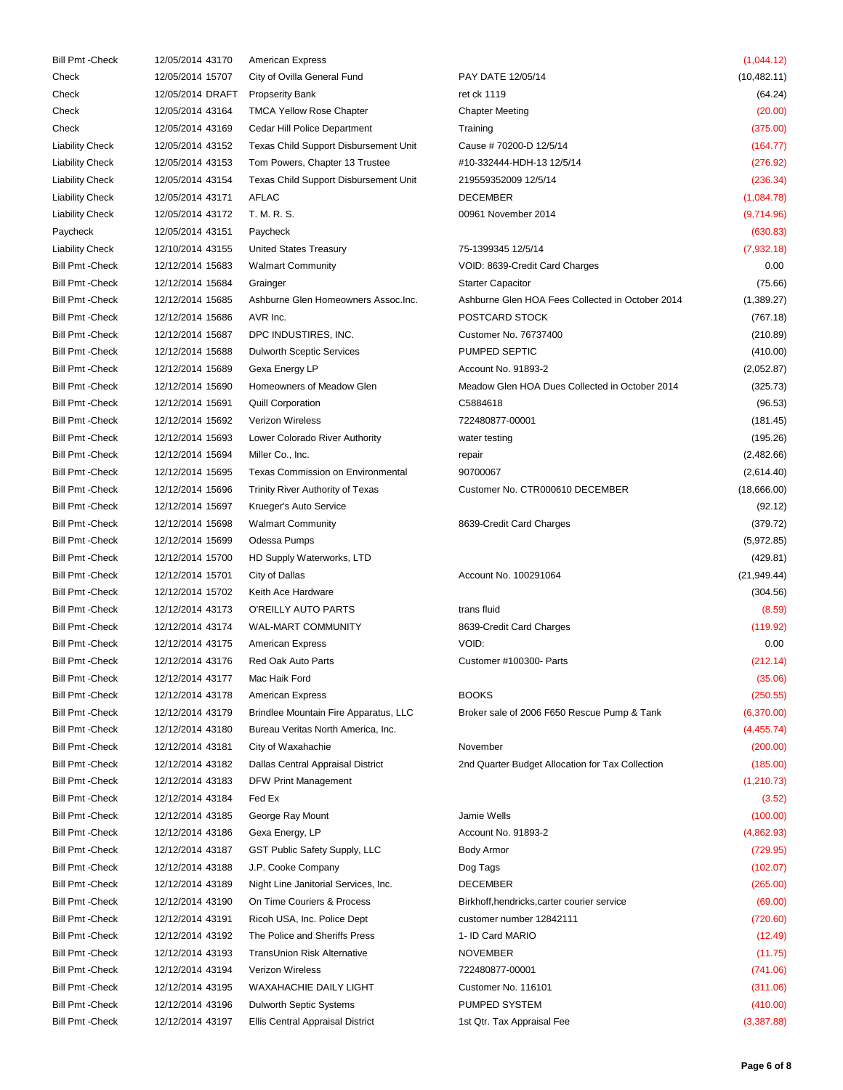| <b>Bill Pmt - Check</b> | 12/05/2014 43170 | <b>American Express</b>                  |                                                  | (1,044.12)   |
|-------------------------|------------------|------------------------------------------|--------------------------------------------------|--------------|
| Check                   | 12/05/2014 15707 | City of Ovilla General Fund              | PAY DATE 12/05/14                                | (10, 482.11) |
| Check                   | 12/05/2014 DRAFT | <b>Propserity Bank</b>                   | ret ck 1119                                      | (64.24)      |
| Check                   | 12/05/2014 43164 | <b>TMCA Yellow Rose Chapter</b>          | <b>Chapter Meeting</b>                           | (20.00)      |
|                         |                  | Cedar Hill Police Department             |                                                  |              |
| Check                   | 12/05/2014 43169 |                                          | Training                                         | (375.00)     |
| <b>Liability Check</b>  | 12/05/2014 43152 | Texas Child Support Disbursement Unit    | Cause #70200-D 12/5/14                           | (164.77)     |
| <b>Liability Check</b>  | 12/05/2014 43153 | Tom Powers, Chapter 13 Trustee           | #10-332444-HDH-13 12/5/14                        | (276.92)     |
| <b>Liability Check</b>  | 12/05/2014 43154 | Texas Child Support Disbursement Unit    | 219559352009 12/5/14                             | (236.34)     |
| <b>Liability Check</b>  | 12/05/2014 43171 | <b>AFLAC</b>                             | <b>DECEMBER</b>                                  | (1,084.78)   |
| <b>Liability Check</b>  | 12/05/2014 43172 | T. M. R. S.                              | 00961 November 2014                              | (9,714.96)   |
| Paycheck                | 12/05/2014 43151 | Paycheck                                 |                                                  | (630.83)     |
| <b>Liability Check</b>  | 12/10/2014 43155 | United States Treasury                   | 75-1399345 12/5/14                               | (7,932.18)   |
| <b>Bill Pmt - Check</b> | 12/12/2014 15683 | <b>Walmart Community</b>                 | VOID: 8639-Credit Card Charges                   | 0.00         |
| <b>Bill Pmt - Check</b> | 12/12/2014 15684 | Grainger                                 | <b>Starter Capacitor</b>                         | (75.66)      |
| <b>Bill Pmt - Check</b> | 12/12/2014 15685 | Ashburne Glen Homeowners Assoc.Inc.      | Ashburne Glen HOA Fees Collected in October 2014 | (1,389.27)   |
| <b>Bill Pmt - Check</b> | 12/12/2014 15686 | AVR Inc.                                 | POSTCARD STOCK                                   | (767.18)     |
| <b>Bill Pmt - Check</b> | 12/12/2014 15687 | DPC INDUSTIRES, INC.                     | Customer No. 76737400                            | (210.89)     |
| <b>Bill Pmt - Check</b> | 12/12/2014 15688 | <b>Dulworth Sceptic Services</b>         | PUMPED SEPTIC                                    | (410.00)     |
| <b>Bill Pmt - Check</b> | 12/12/2014 15689 | Gexa Energy LP                           | Account No. 91893-2                              | (2,052.87)   |
| <b>Bill Pmt - Check</b> | 12/12/2014 15690 | Homeowners of Meadow Glen                | Meadow Glen HOA Dues Collected in October 2014   | (325.73)     |
| <b>Bill Pmt - Check</b> | 12/12/2014 15691 | <b>Quill Corporation</b>                 | C5884618                                         | (96.53)      |
| <b>Bill Pmt - Check</b> | 12/12/2014 15692 | Verizon Wireless                         | 722480877-00001                                  | (181.45)     |
| <b>Bill Pmt - Check</b> | 12/12/2014 15693 | Lower Colorado River Authority           | water testing                                    | (195.26)     |
| <b>Bill Pmt - Check</b> | 12/12/2014 15694 | Miller Co., Inc.                         | repair                                           | (2,482.66)   |
| <b>Bill Pmt - Check</b> | 12/12/2014 15695 | <b>Texas Commission on Environmental</b> | 90700067                                         |              |
|                         |                  |                                          |                                                  | (2,614.40)   |
| <b>Bill Pmt - Check</b> | 12/12/2014 15696 | Trinity River Authority of Texas         | Customer No. CTR000610 DECEMBER                  | (18,666.00)  |
| <b>Bill Pmt - Check</b> | 12/12/2014 15697 | Krueger's Auto Service                   |                                                  | (92.12)      |
| <b>Bill Pmt - Check</b> | 12/12/2014 15698 | <b>Walmart Community</b>                 | 8639-Credit Card Charges                         | (379.72)     |
| <b>Bill Pmt - Check</b> | 12/12/2014 15699 | Odessa Pumps                             |                                                  | (5,972.85)   |
| <b>Bill Pmt - Check</b> | 12/12/2014 15700 | HD Supply Waterworks, LTD                |                                                  | (429.81)     |
| <b>Bill Pmt - Check</b> | 12/12/2014 15701 | City of Dallas                           | Account No. 100291064                            | (21, 949.44) |
| <b>Bill Pmt - Check</b> | 12/12/2014 15702 | Keith Ace Hardware                       |                                                  | (304.56)     |
| <b>Bill Pmt - Check</b> | 12/12/2014 43173 | O'REILLY AUTO PARTS                      | trans fluid                                      | (8.59)       |
| <b>Bill Pmt - Check</b> | 12/12/2014 43174 | WAL-MART COMMUNITY                       | 8639-Credit Card Charges                         | (119.92)     |
| <b>Bill Pmt - Check</b> | 12/12/2014 43175 | <b>American Express</b>                  | VOID:                                            | 0.00         |
| <b>Bill Pmt - Check</b> | 12/12/2014 43176 | Red Oak Auto Parts                       | Customer #100300- Parts                          | (212.14)     |
| <b>Bill Pmt - Check</b> | 12/12/2014 43177 | Mac Haik Ford                            |                                                  | (35.06)      |
| <b>Bill Pmt - Check</b> | 12/12/2014 43178 | <b>American Express</b>                  | <b>BOOKS</b>                                     | (250.55)     |
| <b>Bill Pmt - Check</b> | 12/12/2014 43179 | Brindlee Mountain Fire Apparatus, LLC    | Broker sale of 2006 F650 Rescue Pump & Tank      | (6,370.00)   |
| <b>Bill Pmt - Check</b> | 12/12/2014 43180 | Bureau Veritas North America, Inc.       |                                                  | (4,455.74)   |
| <b>Bill Pmt - Check</b> | 12/12/2014 43181 | City of Waxahachie                       | November                                         | (200.00)     |
| <b>Bill Pmt - Check</b> | 12/12/2014 43182 | Dallas Central Appraisal District        | 2nd Quarter Budget Allocation for Tax Collection | (185.00)     |
| <b>Bill Pmt - Check</b> | 12/12/2014 43183 | <b>DFW Print Management</b>              |                                                  | (1, 210.73)  |
| <b>Bill Pmt - Check</b> | 12/12/2014 43184 | Fed Ex                                   |                                                  | (3.52)       |
| <b>Bill Pmt - Check</b> |                  |                                          | Jamie Wells                                      |              |
|                         | 12/12/2014 43185 | George Ray Mount                         |                                                  | (100.00)     |
| <b>Bill Pmt - Check</b> | 12/12/2014 43186 | Gexa Energy, LP                          | Account No. 91893-2                              | (4,862.93)   |
| <b>Bill Pmt - Check</b> | 12/12/2014 43187 | GST Public Safety Supply, LLC            | Body Armor                                       | (729.95)     |
| <b>Bill Pmt - Check</b> | 12/12/2014 43188 | J.P. Cooke Company                       | Dog Tags                                         | (102.07)     |
| <b>Bill Pmt - Check</b> | 12/12/2014 43189 | Night Line Janitorial Services, Inc.     | <b>DECEMBER</b>                                  | (265.00)     |
| <b>Bill Pmt - Check</b> | 12/12/2014 43190 | On Time Couriers & Process               | Birkhoff, hendricks, carter courier service      | (69.00)      |
| <b>Bill Pmt - Check</b> | 12/12/2014 43191 | Ricoh USA, Inc. Police Dept              | customer number 12842111                         | (720.60)     |
| <b>Bill Pmt - Check</b> | 12/12/2014 43192 | The Police and Sheriffs Press            | 1- ID Card MARIO                                 | (12.49)      |
| <b>Bill Pmt - Check</b> | 12/12/2014 43193 | TransUnion Risk Alternative              | <b>NOVEMBER</b>                                  | (11.75)      |
| <b>Bill Pmt - Check</b> | 12/12/2014 43194 | Verizon Wireless                         | 722480877-00001                                  | (741.06)     |
| <b>Bill Pmt - Check</b> | 12/12/2014 43195 | WAXAHACHIE DAILY LIGHT                   | Customer No. 116101                              | (311.06)     |
| <b>Bill Pmt - Check</b> | 12/12/2014 43196 | Dulworth Septic Systems                  | PUMPED SYSTEM                                    | (410.00)     |
| Bill Pmt - Check        | 12/12/2014 43197 | Ellis Central Appraisal District         | 1st Qtr. Tax Appraisal Fee                       | (3,387.88)   |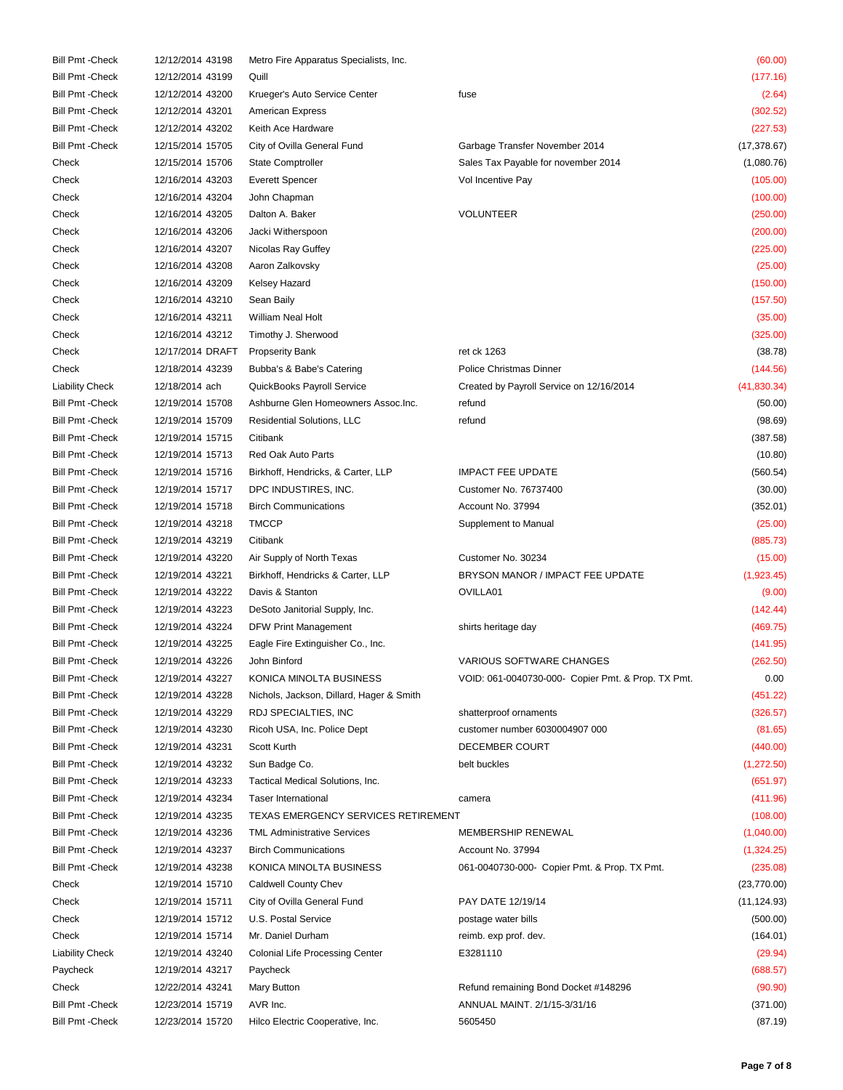| <b>Bill Pmt - Check</b> | 12/12/2014 43198 | Metro Fire Apparatus Specialists, Inc.   |                                                    | (60.00)      |
|-------------------------|------------------|------------------------------------------|----------------------------------------------------|--------------|
| <b>Bill Pmt - Check</b> | 12/12/2014 43199 | Quill                                    |                                                    | (177.16)     |
| <b>Bill Pmt - Check</b> | 12/12/2014 43200 | Krueger's Auto Service Center            | fuse                                               | (2.64)       |
| <b>Bill Pmt - Check</b> | 12/12/2014 43201 | <b>American Express</b>                  |                                                    | (302.52)     |
| <b>Bill Pmt - Check</b> | 12/12/2014 43202 | Keith Ace Hardware                       |                                                    | (227.53)     |
| <b>Bill Pmt - Check</b> | 12/15/2014 15705 | City of Ovilla General Fund              | Garbage Transfer November 2014                     | (17, 378.67) |
| Check                   | 12/15/2014 15706 | <b>State Comptroller</b>                 | Sales Tax Payable for november 2014                | (1,080.76)   |
| Check                   | 12/16/2014 43203 | <b>Everett Spencer</b>                   | Vol Incentive Pay                                  | (105.00)     |
| Check                   | 12/16/2014 43204 | John Chapman                             |                                                    | (100.00)     |
| Check                   | 12/16/2014 43205 | Dalton A. Baker                          | <b>VOLUNTEER</b>                                   | (250.00)     |
| Check                   | 12/16/2014 43206 | Jacki Witherspoon                        |                                                    | (200.00)     |
| Check                   | 12/16/2014 43207 | Nicolas Ray Guffey                       |                                                    | (225.00)     |
| Check                   | 12/16/2014 43208 | Aaron Zalkovsky                          |                                                    | (25.00)      |
| Check                   | 12/16/2014 43209 | Kelsey Hazard                            |                                                    | (150.00)     |
| Check                   | 12/16/2014 43210 | Sean Baily                               |                                                    | (157.50)     |
| Check                   | 12/16/2014 43211 | William Neal Holt                        |                                                    | (35.00)      |
| Check                   | 12/16/2014 43212 |                                          |                                                    |              |
|                         |                  | Timothy J. Sherwood                      | ret ck 1263                                        | (325.00)     |
| Check                   | 12/17/2014 DRAFT | <b>Propserity Bank</b>                   |                                                    | (38.78)      |
| Check                   | 12/18/2014 43239 | Bubba's & Babe's Catering                | <b>Police Christmas Dinner</b>                     | (144.56)     |
| <b>Liability Check</b>  | 12/18/2014 ach   | QuickBooks Payroll Service               | Created by Payroll Service on 12/16/2014           | (41, 830.34) |
| <b>Bill Pmt - Check</b> | 12/19/2014 15708 | Ashburne Glen Homeowners Assoc.Inc.      | refund                                             | (50.00)      |
| <b>Bill Pmt - Check</b> | 12/19/2014 15709 | Residential Solutions, LLC               | refund                                             | (98.69)      |
| <b>Bill Pmt - Check</b> | 12/19/2014 15715 | Citibank                                 |                                                    | (387.58)     |
| <b>Bill Pmt - Check</b> | 12/19/2014 15713 | Red Oak Auto Parts                       |                                                    | (10.80)      |
| <b>Bill Pmt - Check</b> | 12/19/2014 15716 | Birkhoff, Hendricks, & Carter, LLP       | <b>IMPACT FEE UPDATE</b>                           | (560.54)     |
| <b>Bill Pmt - Check</b> | 12/19/2014 15717 | DPC INDUSTIRES, INC.                     | Customer No. 76737400                              | (30.00)      |
| <b>Bill Pmt - Check</b> | 12/19/2014 15718 | <b>Birch Communications</b>              | Account No. 37994                                  | (352.01)     |
| <b>Bill Pmt - Check</b> | 12/19/2014 43218 | <b>TMCCP</b>                             | Supplement to Manual                               | (25.00)      |
| <b>Bill Pmt - Check</b> | 12/19/2014 43219 | Citibank                                 |                                                    | (885.73)     |
| <b>Bill Pmt - Check</b> | 12/19/2014 43220 | Air Supply of North Texas                | Customer No. 30234                                 | (15.00)      |
| <b>Bill Pmt - Check</b> | 12/19/2014 43221 | Birkhoff, Hendricks & Carter, LLP        | BRYSON MANOR / IMPACT FEE UPDATE                   | (1,923.45)   |
| <b>Bill Pmt - Check</b> | 12/19/2014 43222 | Davis & Stanton                          | OVILLA01                                           | (9.00)       |
| <b>Bill Pmt - Check</b> | 12/19/2014 43223 | DeSoto Janitorial Supply, Inc.           |                                                    | (142.44)     |
| <b>Bill Pmt - Check</b> | 12/19/2014 43224 | DFW Print Management                     | shirts heritage day                                | (469.75)     |
| <b>Bill Pmt - Check</b> | 12/19/2014 43225 | Eagle Fire Extinguisher Co., Inc.        |                                                    | (141.95)     |
| <b>Bill Pmt - Check</b> | 12/19/2014 43226 | John Binford                             | <b>VARIOUS SOFTWARE CHANGES</b>                    | (262.50)     |
| <b>Bill Pmt - Check</b> | 12/19/2014 43227 | KONICA MINOLTA BUSINESS                  | VOID: 061-0040730-000- Copier Pmt. & Prop. TX Pmt. | 0.00         |
| <b>Bill Pmt - Check</b> | 12/19/2014 43228 | Nichols, Jackson, Dillard, Hager & Smith |                                                    | (451.22)     |
| <b>Bill Pmt - Check</b> | 12/19/2014 43229 | RDJ SPECIALTIES, INC                     | shatterproof ornaments                             | (326.57)     |
| <b>Bill Pmt - Check</b> | 12/19/2014 43230 | Ricoh USA, Inc. Police Dept              | customer number 6030004907 000                     | (81.65)      |
| <b>Bill Pmt - Check</b> | 12/19/2014 43231 | Scott Kurth                              | DECEMBER COURT                                     | (440.00)     |
| <b>Bill Pmt - Check</b> | 12/19/2014 43232 | Sun Badge Co.                            | belt buckles                                       | (1,272.50)   |
| <b>Bill Pmt - Check</b> | 12/19/2014 43233 | Tactical Medical Solutions, Inc.         |                                                    | (651.97)     |
| <b>Bill Pmt - Check</b> | 12/19/2014 43234 | <b>Taser International</b>               | camera                                             | (411.96)     |
| <b>Bill Pmt - Check</b> | 12/19/2014 43235 | TEXAS EMERGENCY SERVICES RETIREMENT      |                                                    | (108.00)     |
| <b>Bill Pmt - Check</b> | 12/19/2014 43236 | <b>TML Administrative Services</b>       | MEMBERSHIP RENEWAL                                 | (1,040.00)   |
| <b>Bill Pmt - Check</b> | 12/19/2014 43237 | <b>Birch Communications</b>              | Account No. 37994                                  | (1,324.25)   |
| <b>Bill Pmt - Check</b> | 12/19/2014 43238 | KONICA MINOLTA BUSINESS                  | 061-0040730-000- Copier Pmt. & Prop. TX Pmt.       | (235.08)     |
| Check                   | 12/19/2014 15710 | Caldwell County Chev                     |                                                    | (23, 770.00) |
|                         |                  |                                          |                                                    |              |
| Check                   | 12/19/2014 15711 | City of Ovilla General Fund              | PAY DATE 12/19/14                                  | (11, 124.93) |
| Check                   | 12/19/2014 15712 | U.S. Postal Service                      | postage water bills                                | (500.00)     |
| Check                   | 12/19/2014 15714 | Mr. Daniel Durham                        | reimb. exp prof. dev.                              | (164.01)     |
| <b>Liability Check</b>  | 12/19/2014 43240 | Colonial Life Processing Center          | E3281110                                           | (29.94)      |
| Paycheck                | 12/19/2014 43217 | Paycheck                                 |                                                    | (688.57)     |
| Check                   | 12/22/2014 43241 | Mary Button                              | Refund remaining Bond Docket #148296               | (90.90)      |
| <b>Bill Pmt - Check</b> | 12/23/2014 15719 | AVR Inc.                                 | ANNUAL MAINT. 2/1/15-3/31/16                       | (371.00)     |
| <b>Bill Pmt - Check</b> | 12/23/2014 15720 | Hilco Electric Cooperative, Inc.         | 5605450                                            | (87.19)      |